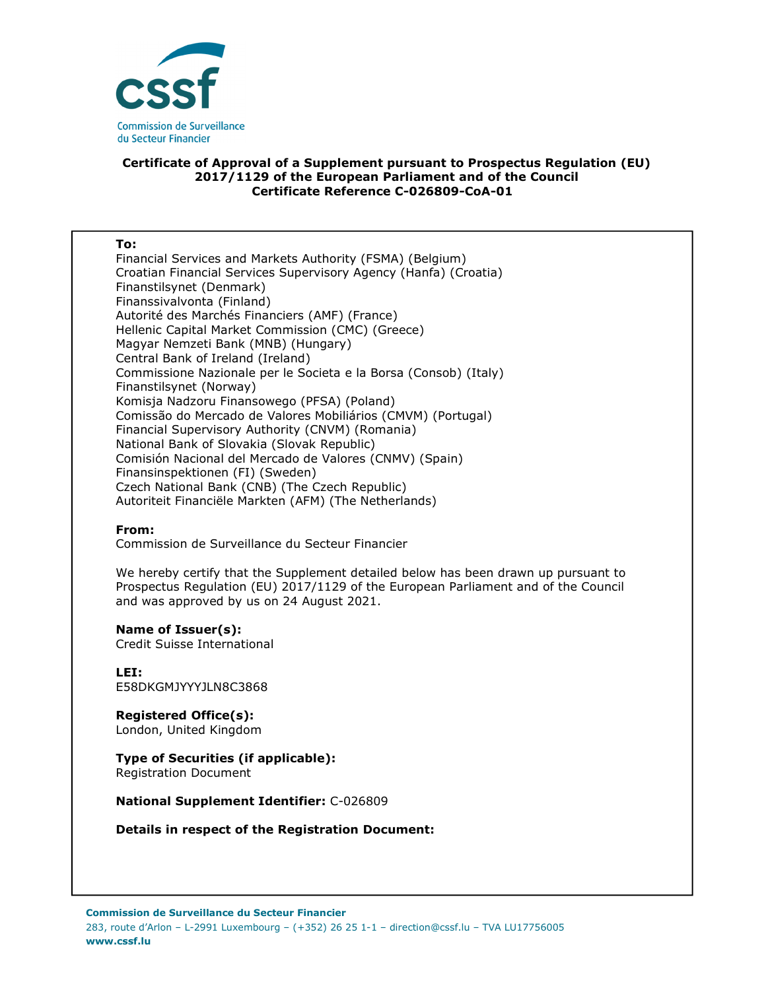

### **Certificate of Approval of a Supplement pursuant to Prospectus Regulation (EU) 2017/1129 of the European Parliament and of the Council Certificate Reference C-026809-CoA-01**

#### **To:**

Financial Services and Markets Authority (FSMA) (Belgium) Croatian Financial Services Supervisory Agency (Hanfa) (Croatia) Finanstilsynet (Denmark) Finanssivalvonta (Finland) Autorité des Marchés Financiers (AMF) (France) Hellenic Capital Market Commission (CMC) (Greece) Magyar Nemzeti Bank (MNB) (Hungary) Central Bank of Ireland (Ireland) Commissione Nazionale per le Societa e la Borsa (Consob) (Italy) Finanstilsynet (Norway) Komisja Nadzoru Finansowego (PFSA) (Poland) Comissão do Mercado de Valores Mobiliários (CMVM) (Portugal) Financial Supervisory Authority (CNVM) (Romania) National Bank of Slovakia (Slovak Republic) Comisión Nacional del Mercado de Valores (CNMV) (Spain) Finansinspektionen (FI) (Sweden) Czech National Bank (CNB) (The Czech Republic) Autoriteit Financiële Markten (AFM) (The Netherlands)

#### **From:**

Commission de Surveillance du Secteur Financier

We hereby certify that the Supplement detailed below has been drawn up pursuant to Prospectus Regulation (EU) 2017/1129 of the European Parliament and of the Council and was approved by us on 24 August 2021.

#### **Name of Issuer(s):**

Credit Suisse International

**LEI:** E58DKGMJYYYJLN8C3868

**Registered Office(s):**  London, United Kingdom

# **Type of Securities (if applicable):**

Registration Document

**National Supplement Identifier:** C-026809

**Details in respect of the Registration Document:**